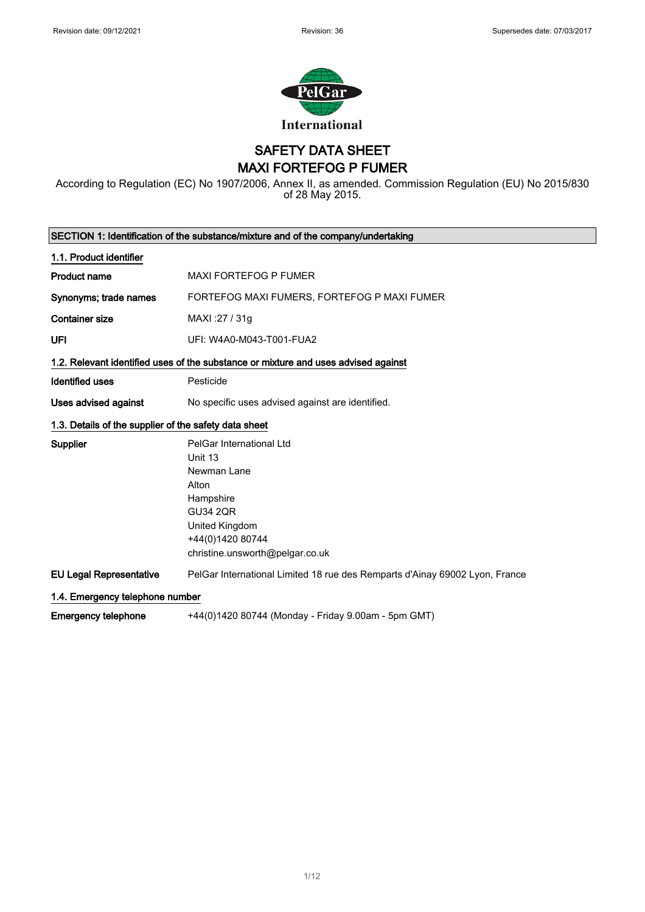

SAFETY DATA SHEET MAXI FORTEFOG P FUMER

According to Regulation (EC) No 1907/2006, Annex II, as amended. Commission Regulation (EU) No 2015/830 of 28 May 2015.

|                                                       | SECTION 1: Identification of the substance/mixture and of the company/undertaking                                                                                    |
|-------------------------------------------------------|----------------------------------------------------------------------------------------------------------------------------------------------------------------------|
| 1.1. Product identifier                               |                                                                                                                                                                      |
| <b>Product name</b>                                   | <b>MAXI FORTEFOG P FUMER</b>                                                                                                                                         |
| Synonyms; trade names                                 | FORTEFOG MAXI FUMERS, FORTEFOG P MAXI FUMER                                                                                                                          |
| <b>Container size</b>                                 | MAXI: 27 / 31g                                                                                                                                                       |
| UFI                                                   | UFI: W4A0-M043-T001-FUA2                                                                                                                                             |
|                                                       | 1.2. Relevant identified uses of the substance or mixture and uses advised against                                                                                   |
| <b>Identified uses</b>                                | Pesticide                                                                                                                                                            |
| Uses advised against                                  | No specific uses advised against are identified.                                                                                                                     |
| 1.3. Details of the supplier of the safety data sheet |                                                                                                                                                                      |
| Supplier                                              | PelGar International Ltd<br>Unit 13<br>Newman Lane<br>Alton<br>Hampshire<br><b>GU34 2QR</b><br>United Kingdom<br>+44(0)1420 80744<br>christine.unsworth@pelgar.co.uk |
| <b>EU Legal Representative</b>                        | PelGar International Limited 18 rue des Remparts d'Ainay 69002 Lyon, France                                                                                          |
| 1.4. Emergency telephone number                       |                                                                                                                                                                      |
| <b>Emergency telephone</b>                            | +44(0)1420 80744 (Monday - Friday 9.00am - 5pm GMT)                                                                                                                  |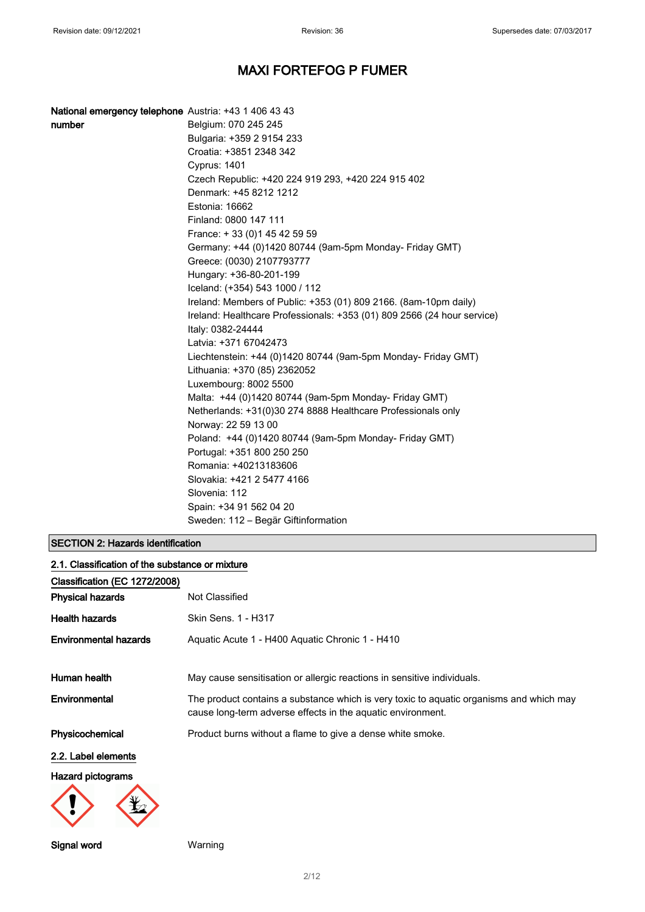| National emergency telephone Austria: +43 1 406 43 43 |                                                                         |
|-------------------------------------------------------|-------------------------------------------------------------------------|
| number                                                | Belgium: 070 245 245                                                    |
|                                                       | Bulgaria: +359 2 9154 233                                               |
|                                                       | Croatia: +3851 2348 342                                                 |
|                                                       | <b>Cyprus: 1401</b>                                                     |
|                                                       | Czech Republic: +420 224 919 293, +420 224 915 402                      |
|                                                       | Denmark: +45 8212 1212                                                  |
|                                                       | Estonia: 16662                                                          |
|                                                       | Finland: 0800 147 111                                                   |
|                                                       | France: +33 (0) 145 42 59 59                                            |
|                                                       | Germany: +44 (0)1420 80744 (9am-5pm Monday- Friday GMT)                 |
|                                                       | Greece: (0030) 2107793777                                               |
|                                                       | Hungary: +36-80-201-199                                                 |
|                                                       | Iceland: (+354) 543 1000 / 112                                          |
|                                                       | Ireland: Members of Public: +353 (01) 809 2166. (8am-10pm daily)        |
|                                                       | Ireland: Healthcare Professionals: +353 (01) 809 2566 (24 hour service) |
|                                                       | Italy: 0382-24444                                                       |
|                                                       | Latvia: +371 67042473                                                   |
|                                                       | Liechtenstein: +44 (0)1420 80744 (9am-5pm Monday- Friday GMT)           |
|                                                       | Lithuania: +370 (85) 2362052                                            |
|                                                       | Luxembourg: 8002 5500                                                   |
|                                                       | Malta: +44 (0)1420 80744 (9am-5pm Monday- Friday GMT)                   |
|                                                       | Netherlands: +31(0)30 274 8888 Healthcare Professionals only            |
|                                                       | Norway: 22 59 13 00                                                     |
|                                                       | Poland: +44 (0)1420 80744 (9am-5pm Monday- Friday GMT)                  |
|                                                       | Portugal: +351 800 250 250                                              |
|                                                       | Romania: +40213183606                                                   |
|                                                       | Slovakia: +421 2 5477 4166                                              |
|                                                       | Slovenia: 112                                                           |
|                                                       | Spain: +34 91 562 04 20                                                 |
|                                                       | Sweden: 112 - Begär Giftinformation                                     |

### SECTION 2: Hazards identification

| 2.1. Classification of the substance or mixture |                                                                                                                                                        |  |
|-------------------------------------------------|--------------------------------------------------------------------------------------------------------------------------------------------------------|--|
| Classification (EC 1272/2008)                   |                                                                                                                                                        |  |
| <b>Physical hazards</b>                         | Not Classified                                                                                                                                         |  |
| <b>Health hazards</b>                           | Skin Sens. 1 - H317                                                                                                                                    |  |
| <b>Environmental hazards</b>                    | Aquatic Acute 1 - H400 Aquatic Chronic 1 - H410                                                                                                        |  |
| Human health                                    | May cause sensitisation or allergic reactions in sensitive individuals.                                                                                |  |
| Environmental                                   | The product contains a substance which is very toxic to aquatic organisms and which may<br>cause long-term adverse effects in the aquatic environment. |  |
| Physicochemical                                 | Product burns without a flame to give a dense white smoke.                                                                                             |  |
| 2.2. Label elements                             |                                                                                                                                                        |  |
| <b>Hazard pictograms</b>                        |                                                                                                                                                        |  |
|                                                 |                                                                                                                                                        |  |

Signal word Warning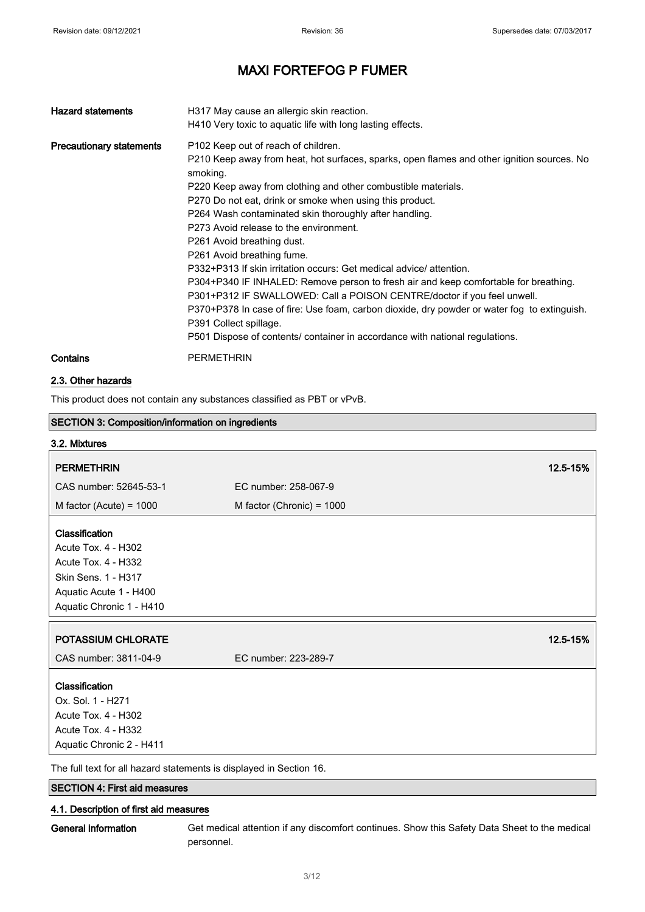| <b>Hazard statements</b>        | H317 May cause an allergic skin reaction.<br>H410 Very toxic to aquatic life with long lasting effects.                                                                                                                                                                                                                                                                                                                                                                                                                                                                                                                                                                                                                                                                                                                                                                                       |
|---------------------------------|-----------------------------------------------------------------------------------------------------------------------------------------------------------------------------------------------------------------------------------------------------------------------------------------------------------------------------------------------------------------------------------------------------------------------------------------------------------------------------------------------------------------------------------------------------------------------------------------------------------------------------------------------------------------------------------------------------------------------------------------------------------------------------------------------------------------------------------------------------------------------------------------------|
| <b>Precautionary statements</b> | P102 Keep out of reach of children.<br>P210 Keep away from heat, hot surfaces, sparks, open flames and other ignition sources. No<br>smoking.<br>P220 Keep away from clothing and other combustible materials.<br>P270 Do not eat, drink or smoke when using this product.<br>P264 Wash contaminated skin thoroughly after handling.<br>P273 Avoid release to the environment.<br>P261 Avoid breathing dust.<br>P261 Avoid breathing fume.<br>P332+P313 If skin irritation occurs: Get medical advice/ attention.<br>P304+P340 IF INHALED: Remove person to fresh air and keep comfortable for breathing.<br>P301+P312 IF SWALLOWED: Call a POISON CENTRE/doctor if you feel unwell.<br>P370+P378 In case of fire: Use foam, carbon dioxide, dry powder or water fog to extinguish.<br>P391 Collect spillage.<br>P501 Dispose of contents/ container in accordance with national regulations. |
| Contains                        | <b>PERMETHRIN</b>                                                                                                                                                                                                                                                                                                                                                                                                                                                                                                                                                                                                                                                                                                                                                                                                                                                                             |

#### 2.3. Other hazards

This product does not contain any substances classified as PBT or vPvB.

| <b>SECTION 3: Composition/information on ingredients</b>           |                             |          |
|--------------------------------------------------------------------|-----------------------------|----------|
| 3.2. Mixtures                                                      |                             |          |
| <b>PERMETHRIN</b>                                                  |                             | 12.5-15% |
| CAS number: 52645-53-1                                             | EC number: 258-067-9        |          |
| M factor (Acute) = $1000$                                          | M factor (Chronic) = $1000$ |          |
|                                                                    |                             |          |
| Classification                                                     |                             |          |
| Acute Tox. 4 - H302                                                |                             |          |
| <b>Acute Tox. 4 - H332</b>                                         |                             |          |
| Skin Sens. 1 - H317                                                |                             |          |
| Aquatic Acute 1 - H400                                             |                             |          |
| Aquatic Chronic 1 - H410                                           |                             |          |
|                                                                    |                             |          |
| POTASSIUM CHLORATE                                                 |                             | 12.5-15% |
| CAS number: 3811-04-9                                              | EC number: 223-289-7        |          |
| Classification                                                     |                             |          |
| Ox. Sol. 1 - H271                                                  |                             |          |
| Acute Tox. 4 - H302                                                |                             |          |
| Acute Tox. 4 - H332                                                |                             |          |
| Aquatic Chronic 2 - H411                                           |                             |          |
| The full text fer all bezerd etatements is displayed in Coetian 16 |                             |          |

The full text for all hazard statements is displayed in Section 16.

### SECTION 4: First aid measures

### 4.1. Description of first aid measures

General information Get medical attention if any discomfort continues. Show this Safety Data Sheet to the medical personnel.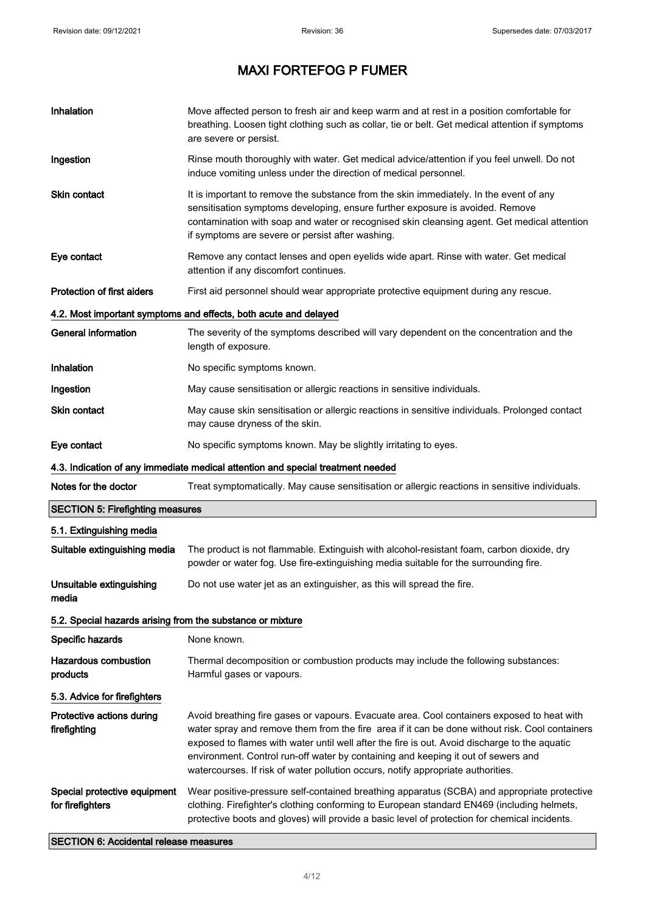$\blacksquare$ 

# MAXI FORTEFOG P FUMER

| Inhalation                                                 | Move affected person to fresh air and keep warm and at rest in a position comfortable for<br>breathing. Loosen tight clothing such as collar, tie or belt. Get medical attention if symptoms<br>are severe or persist.                                                                                                                                                                                                                                                 |
|------------------------------------------------------------|------------------------------------------------------------------------------------------------------------------------------------------------------------------------------------------------------------------------------------------------------------------------------------------------------------------------------------------------------------------------------------------------------------------------------------------------------------------------|
| Ingestion                                                  | Rinse mouth thoroughly with water. Get medical advice/attention if you feel unwell. Do not<br>induce vomiting unless under the direction of medical personnel.                                                                                                                                                                                                                                                                                                         |
| <b>Skin contact</b>                                        | It is important to remove the substance from the skin immediately. In the event of any<br>sensitisation symptoms developing, ensure further exposure is avoided. Remove<br>contamination with soap and water or recognised skin cleansing agent. Get medical attention<br>if symptoms are severe or persist after washing.                                                                                                                                             |
| Eye contact                                                | Remove any contact lenses and open eyelids wide apart. Rinse with water. Get medical<br>attention if any discomfort continues.                                                                                                                                                                                                                                                                                                                                         |
| <b>Protection of first aiders</b>                          | First aid personnel should wear appropriate protective equipment during any rescue.                                                                                                                                                                                                                                                                                                                                                                                    |
|                                                            | 4.2. Most important symptoms and effects, both acute and delayed                                                                                                                                                                                                                                                                                                                                                                                                       |
| <b>General information</b>                                 | The severity of the symptoms described will vary dependent on the concentration and the<br>length of exposure.                                                                                                                                                                                                                                                                                                                                                         |
| Inhalation                                                 | No specific symptoms known.                                                                                                                                                                                                                                                                                                                                                                                                                                            |
| Ingestion                                                  | May cause sensitisation or allergic reactions in sensitive individuals.                                                                                                                                                                                                                                                                                                                                                                                                |
| <b>Skin contact</b>                                        | May cause skin sensitisation or allergic reactions in sensitive individuals. Prolonged contact<br>may cause dryness of the skin.                                                                                                                                                                                                                                                                                                                                       |
| Eye contact                                                | No specific symptoms known. May be slightly irritating to eyes.                                                                                                                                                                                                                                                                                                                                                                                                        |
|                                                            | 4.3. Indication of any immediate medical attention and special treatment needed                                                                                                                                                                                                                                                                                                                                                                                        |
| Notes for the doctor                                       | Treat symptomatically. May cause sensitisation or allergic reactions in sensitive individuals.                                                                                                                                                                                                                                                                                                                                                                         |
| <b>SECTION 5: Firefighting measures</b>                    |                                                                                                                                                                                                                                                                                                                                                                                                                                                                        |
| 5.1. Extinguishing media                                   |                                                                                                                                                                                                                                                                                                                                                                                                                                                                        |
| Suitable extinguishing media                               | The product is not flammable. Extinguish with alcohol-resistant foam, carbon dioxide, dry<br>powder or water fog. Use fire-extinguishing media suitable for the surrounding fire.                                                                                                                                                                                                                                                                                      |
| Unsuitable extinguishing<br>media                          | Do not use water jet as an extinguisher, as this will spread the fire.                                                                                                                                                                                                                                                                                                                                                                                                 |
| 5.2. Special hazards arising from the substance or mixture |                                                                                                                                                                                                                                                                                                                                                                                                                                                                        |
| Specific hazards                                           | None known.                                                                                                                                                                                                                                                                                                                                                                                                                                                            |
| <b>Hazardous combustion</b><br>products                    | Thermal decomposition or combustion products may include the following substances:<br>Harmful gases or vapours.                                                                                                                                                                                                                                                                                                                                                        |
| 5.3. Advice for firefighters                               |                                                                                                                                                                                                                                                                                                                                                                                                                                                                        |
| Protective actions during<br>firefighting                  | Avoid breathing fire gases or vapours. Evacuate area. Cool containers exposed to heat with<br>water spray and remove them from the fire area if it can be done without risk. Cool containers<br>exposed to flames with water until well after the fire is out. Avoid discharge to the aquatic<br>environment. Control run-off water by containing and keeping it out of sewers and<br>watercourses. If risk of water pollution occurs, notify appropriate authorities. |
| Special protective equipment<br>for firefighters           | Wear positive-pressure self-contained breathing apparatus (SCBA) and appropriate protective<br>clothing. Firefighter's clothing conforming to European standard EN469 (including helmets,<br>protective boots and gloves) will provide a basic level of protection for chemical incidents.                                                                                                                                                                             |

SECTION 6: Accidental release measures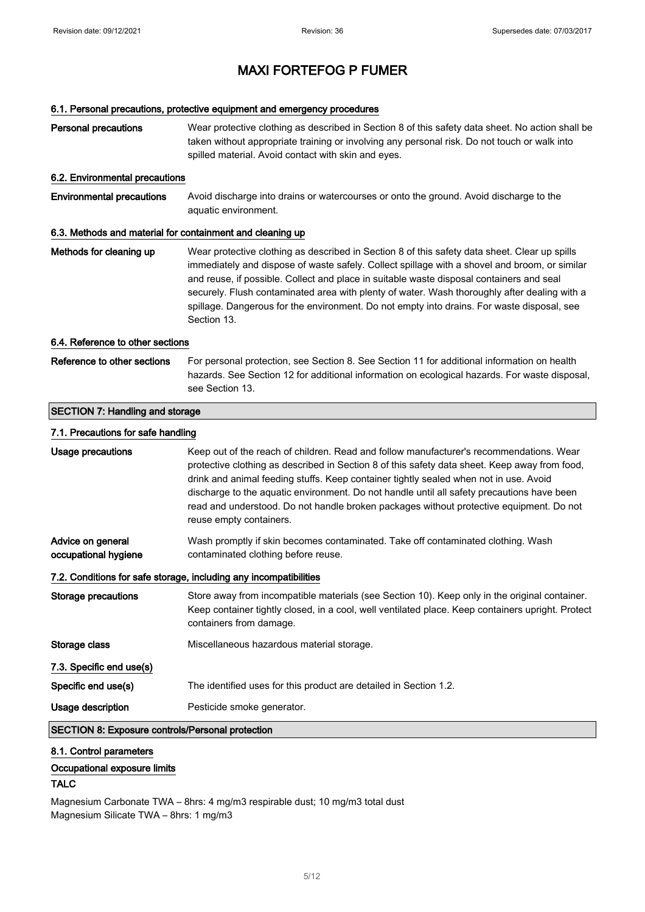#### 6.1. Personal precautions, protective equipment and emergency procedures

| <b>Personal precautions</b>                               | Wear protective clothing as described in Section 8 of this safety data sheet. No action shall be<br>taken without appropriate training or involving any personal risk. Do not touch or walk into<br>spilled material. Avoid contact with skin and eyes.                                                                                                                                                                                                                                                 |  |
|-----------------------------------------------------------|---------------------------------------------------------------------------------------------------------------------------------------------------------------------------------------------------------------------------------------------------------------------------------------------------------------------------------------------------------------------------------------------------------------------------------------------------------------------------------------------------------|--|
| 6.2. Environmental precautions                            |                                                                                                                                                                                                                                                                                                                                                                                                                                                                                                         |  |
| <b>Environmental precautions</b>                          | Avoid discharge into drains or watercourses or onto the ground. Avoid discharge to the<br>aquatic environment.                                                                                                                                                                                                                                                                                                                                                                                          |  |
| 6.3. Methods and material for containment and cleaning up |                                                                                                                                                                                                                                                                                                                                                                                                                                                                                                         |  |
| Methods for cleaning up                                   | Wear protective clothing as described in Section 8 of this safety data sheet. Clear up spills<br>immediately and dispose of waste safely. Collect spillage with a shovel and broom, or similar<br>and reuse, if possible. Collect and place in suitable waste disposal containers and seal<br>securely. Flush contaminated area with plenty of water. Wash thoroughly after dealing with a<br>spillage. Dangerous for the environment. Do not empty into drains. For waste disposal, see<br>Section 13. |  |
| 6.4. Reference to other sections                          |                                                                                                                                                                                                                                                                                                                                                                                                                                                                                                         |  |
| Reference to other sections                               | For personal protection, see Section 8. See Section 11 for additional information on health<br>hazards. See Section 12 for additional information on ecological hazards. For waste disposal,<br>see Section 13.                                                                                                                                                                                                                                                                                         |  |
| <b>SECTION 7: Handling and storage</b>                    |                                                                                                                                                                                                                                                                                                                                                                                                                                                                                                         |  |
| 7.1. Precautions for safe handling                        |                                                                                                                                                                                                                                                                                                                                                                                                                                                                                                         |  |
| Usage precautions                                         | Keep out of the reach of children. Read and follow manufacturer's recommendations. Wear<br>protective clothing as described in Section 8 of this safety data sheet. Keep away from food,<br>drink and animal feeding stuffs. Keep container tightly sealed when not in use. Avoid<br>discharge to the aquatic environment. Do not handle until all safety precautions have been<br>read and understood. Do not handle broken packages without protective equipment. Do not<br>reuse empty containers.   |  |
| Advice on general<br>occupational hygiene                 | Wash promptly if skin becomes contaminated. Take off contaminated clothing. Wash<br>contaminated clothing before reuse.                                                                                                                                                                                                                                                                                                                                                                                 |  |
|                                                           | 7.2. Conditions for safe storage, including any incompatibilities                                                                                                                                                                                                                                                                                                                                                                                                                                       |  |
| <b>Storage precautions</b>                                | Store away from incompatible materials (see Section 10). Keep only in the original container.<br>Keep container tightly closed, in a cool, well ventilated place. Keep containers upright. Protect<br>containers from damage.                                                                                                                                                                                                                                                                           |  |
| Storage class                                             | Miscellaneous hazardous material storage.                                                                                                                                                                                                                                                                                                                                                                                                                                                               |  |
| 7.3. Specific end use(s)                                  |                                                                                                                                                                                                                                                                                                                                                                                                                                                                                                         |  |
| Specific end use(s)                                       | The identified uses for this product are detailed in Section 1.2.                                                                                                                                                                                                                                                                                                                                                                                                                                       |  |
| <b>Usage description</b>                                  | Pesticide smoke generator.                                                                                                                                                                                                                                                                                                                                                                                                                                                                              |  |
| <b>SECTION 8: Exposure controls/Personal protection</b>   |                                                                                                                                                                                                                                                                                                                                                                                                                                                                                                         |  |

### 8.1. Control parameters

### Occupational exposure limits

### **TALC**

Magnesium Carbonate TWA – 8hrs: 4 mg/m3 respirable dust; 10 mg/m3 total dust Magnesium Silicate TWA – 8hrs: 1 mg/m3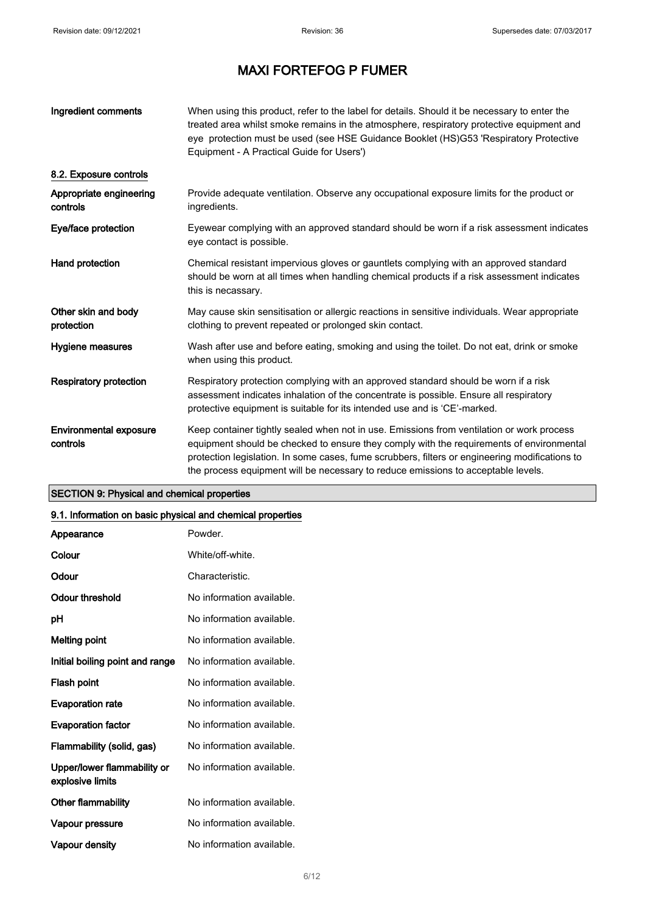| Ingredient comments                       | When using this product, refer to the label for details. Should it be necessary to enter the<br>treated area whilst smoke remains in the atmosphere, respiratory protective equipment and<br>eye protection must be used (see HSE Guidance Booklet (HS)G53 'Respiratory Protective<br>Equipment - A Practical Guide for Users')                                              |
|-------------------------------------------|------------------------------------------------------------------------------------------------------------------------------------------------------------------------------------------------------------------------------------------------------------------------------------------------------------------------------------------------------------------------------|
| 8.2. Exposure controls                    |                                                                                                                                                                                                                                                                                                                                                                              |
| Appropriate engineering<br>controls       | Provide adequate ventilation. Observe any occupational exposure limits for the product or<br>ingredients.                                                                                                                                                                                                                                                                    |
| Eye/face protection                       | Eyewear complying with an approved standard should be worn if a risk assessment indicates<br>eye contact is possible.                                                                                                                                                                                                                                                        |
| Hand protection                           | Chemical resistant impervious gloves or gauntlets complying with an approved standard<br>should be worn at all times when handling chemical products if a risk assessment indicates<br>this is necassary.                                                                                                                                                                    |
| Other skin and body<br>protection         | May cause skin sensitisation or allergic reactions in sensitive individuals. Wear appropriate<br>clothing to prevent repeated or prolonged skin contact.                                                                                                                                                                                                                     |
| Hygiene measures                          | Wash after use and before eating, smoking and using the toilet. Do not eat, drink or smoke<br>when using this product.                                                                                                                                                                                                                                                       |
| <b>Respiratory protection</b>             | Respiratory protection complying with an approved standard should be worn if a risk<br>assessment indicates inhalation of the concentrate is possible. Ensure all respiratory<br>protective equipment is suitable for its intended use and is 'CE'-marked.                                                                                                                   |
| <b>Environmental exposure</b><br>controls | Keep container tightly sealed when not in use. Emissions from ventilation or work process<br>equipment should be checked to ensure they comply with the requirements of environmental<br>protection legislation. In some cases, fume scrubbers, filters or engineering modifications to<br>the process equipment will be necessary to reduce emissions to acceptable levels. |

### SECTION 9: Physical and chemical properties

#### 9.1. Information on basic physical and chemical properties

| Appearance                                      | Powder.                   |
|-------------------------------------------------|---------------------------|
| Colour                                          | White/off-white.          |
| Odour                                           | Characteristic.           |
| Odour threshold                                 | No information available. |
| рH                                              | No information available. |
| <b>Melting point</b>                            | No information available. |
| Initial boiling point and range                 | No information available. |
| Flash point                                     | No information available. |
| <b>Evaporation rate</b>                         | No information available. |
| <b>Evaporation factor</b>                       | No information available. |
| Flammability (solid, gas)                       | No information available. |
| Upper/lower flammability or<br>explosive limits | No information available. |
| Other flammability                              | No information available. |
| Vapour pressure                                 | No information available. |
| Vapour density                                  | No information available. |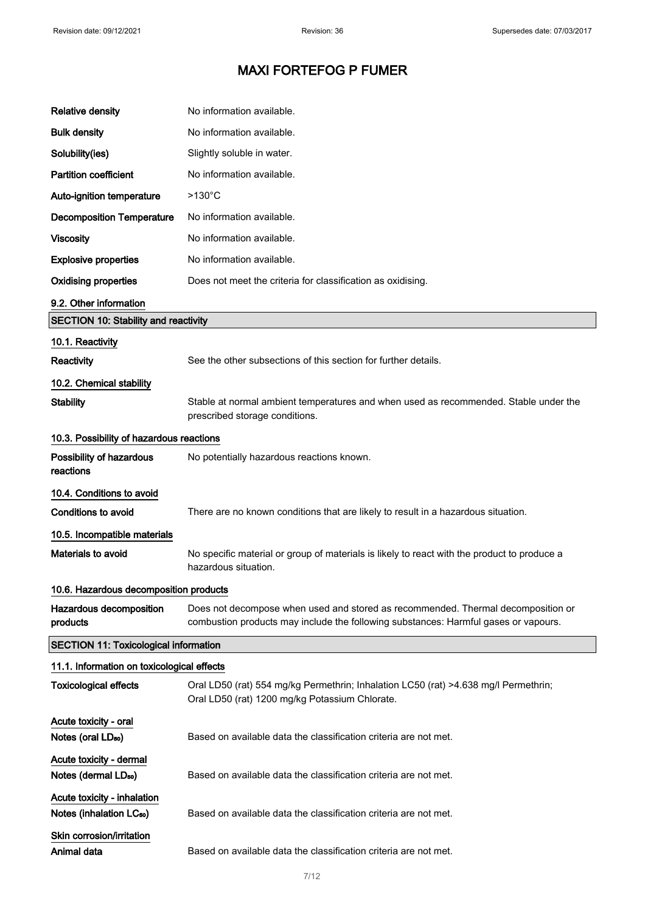| <b>Relative density</b>                                             | No information available.                                                                                                                                               |
|---------------------------------------------------------------------|-------------------------------------------------------------------------------------------------------------------------------------------------------------------------|
| <b>Bulk density</b>                                                 | No information available.                                                                                                                                               |
| Solubility(ies)                                                     | Slightly soluble in water.                                                                                                                                              |
| <b>Partition coefficient</b>                                        | No information available.                                                                                                                                               |
| Auto-ignition temperature                                           | $>130^{\circ}$ C                                                                                                                                                        |
| <b>Decomposition Temperature</b>                                    | No information available.                                                                                                                                               |
| <b>Viscosity</b>                                                    | No information available.                                                                                                                                               |
| <b>Explosive properties</b>                                         | No information available.                                                                                                                                               |
| <b>Oxidising properties</b>                                         | Does not meet the criteria for classification as oxidising.                                                                                                             |
| 9.2. Other information                                              |                                                                                                                                                                         |
| <b>SECTION 10: Stability and reactivity</b>                         |                                                                                                                                                                         |
| 10.1. Reactivity                                                    |                                                                                                                                                                         |
| Reactivity                                                          | See the other subsections of this section for further details.                                                                                                          |
| 10.2. Chemical stability                                            |                                                                                                                                                                         |
| <b>Stability</b>                                                    | Stable at normal ambient temperatures and when used as recommended. Stable under the<br>prescribed storage conditions.                                                  |
| 10.3. Possibility of hazardous reactions                            |                                                                                                                                                                         |
| Possibility of hazardous<br>reactions                               | No potentially hazardous reactions known.                                                                                                                               |
| 10.4. Conditions to avoid                                           |                                                                                                                                                                         |
| <b>Conditions to avoid</b>                                          | There are no known conditions that are likely to result in a hazardous situation.                                                                                       |
| 10.5. Incompatible materials                                        |                                                                                                                                                                         |
| Materials to avoid                                                  | No specific material or group of materials is likely to react with the product to produce a<br>hazardous situation.                                                     |
| 10.6. Hazardous decomposition products                              |                                                                                                                                                                         |
| Hazardous decomposition<br>products                                 | Does not decompose when used and stored as recommended. Thermal decomposition or<br>combustion products may include the following substances: Harmful gases or vapours. |
| <b>SECTION 11: Toxicological information</b>                        |                                                                                                                                                                         |
| 11.1. Information on toxicological effects                          |                                                                                                                                                                         |
| <b>Toxicological effects</b>                                        | Oral LD50 (rat) 554 mg/kg Permethrin; Inhalation LC50 (rat) >4.638 mg/l Permethrin;<br>Oral LD50 (rat) 1200 mg/kg Potassium Chlorate.                                   |
| Acute toxicity - oral<br>Notes (oral LD <sub>50</sub> )             | Based on available data the classification criteria are not met.                                                                                                        |
| Acute toxicity - dermal                                             |                                                                                                                                                                         |
| Notes (dermal LD <sub>50</sub> )                                    | Based on available data the classification criteria are not met.                                                                                                        |
| Acute toxicity - inhalation<br>Notes (inhalation LC <sub>50</sub> ) | Based on available data the classification criteria are not met.                                                                                                        |
| Skin corrosion/irritation                                           |                                                                                                                                                                         |
| Animal data                                                         | Based on available data the classification criteria are not met.                                                                                                        |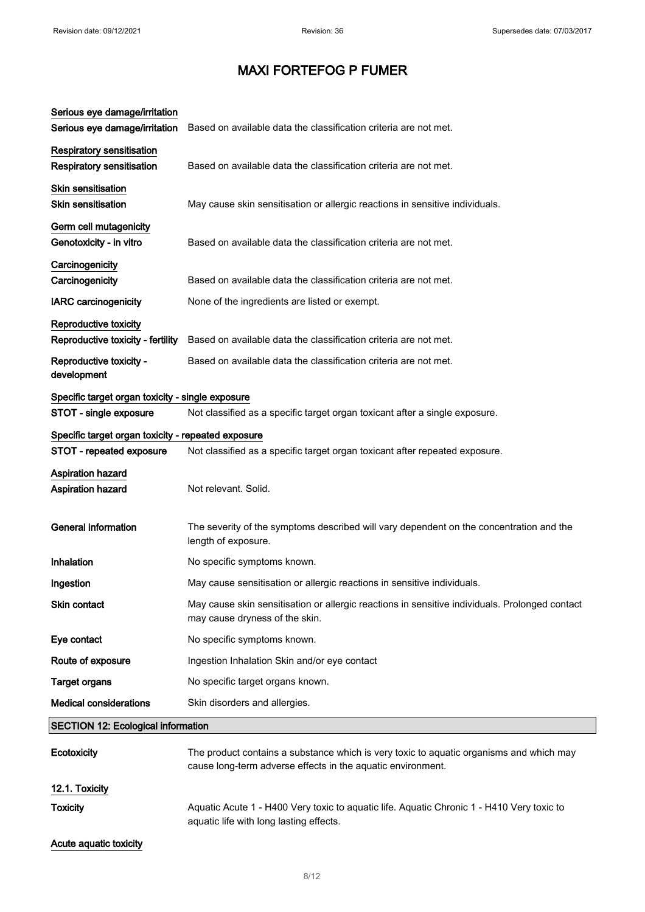| Serious eye damage/irritation<br>Serious eye damage/irritation       | Based on available data the classification criteria are not met.                                                                                       |
|----------------------------------------------------------------------|--------------------------------------------------------------------------------------------------------------------------------------------------------|
| <b>Respiratory sensitisation</b><br><b>Respiratory sensitisation</b> | Based on available data the classification criteria are not met.                                                                                       |
| <b>Skin sensitisation</b><br>Skin sensitisation                      | May cause skin sensitisation or allergic reactions in sensitive individuals.                                                                           |
| Germ cell mutagenicity<br>Genotoxicity - in vitro                    | Based on available data the classification criteria are not met.                                                                                       |
| Carcinogenicity<br>Carcinogenicity                                   | Based on available data the classification criteria are not met.                                                                                       |
| <b>IARC</b> carcinogenicity                                          | None of the ingredients are listed or exempt.                                                                                                          |
| Reproductive toxicity<br>Reproductive toxicity - fertility           | Based on available data the classification criteria are not met.                                                                                       |
| Reproductive toxicity -<br>development                               | Based on available data the classification criteria are not met.                                                                                       |
| Specific target organ toxicity - single exposure                     |                                                                                                                                                        |
| STOT - single exposure                                               | Not classified as a specific target organ toxicant after a single exposure.                                                                            |
| Specific target organ toxicity - repeated exposure                   |                                                                                                                                                        |
| STOT - repeated exposure                                             | Not classified as a specific target organ toxicant after repeated exposure.                                                                            |
| Aspiration hazard                                                    |                                                                                                                                                        |
| Aspiration hazard                                                    | Not relevant. Solid.                                                                                                                                   |
| <b>General information</b>                                           | The severity of the symptoms described will vary dependent on the concentration and the<br>length of exposure.                                         |
| Inhalation                                                           | No specific symptoms known.                                                                                                                            |
| Ingestion                                                            | May cause sensitisation or allergic reactions in sensitive individuals.                                                                                |
| <b>Skin contact</b>                                                  | May cause skin sensitisation or allergic reactions in sensitive individuals. Prolonged contact<br>may cause dryness of the skin.                       |
| Eye contact                                                          | No specific symptoms known.                                                                                                                            |
| Route of exposure                                                    | Ingestion Inhalation Skin and/or eye contact                                                                                                           |
| <b>Target organs</b>                                                 | No specific target organs known.                                                                                                                       |
| <b>Medical considerations</b>                                        | Skin disorders and allergies.                                                                                                                          |
| <b>SECTION 12: Ecological information</b>                            |                                                                                                                                                        |
| Ecotoxicity                                                          | The product contains a substance which is very toxic to aquatic organisms and which may<br>cause long-term adverse effects in the aquatic environment. |
| 12.1. Toxicity                                                       |                                                                                                                                                        |
| <b>Toxicity</b>                                                      | Aquatic Acute 1 - H400 Very toxic to aquatic life. Aquatic Chronic 1 - H410 Very toxic to<br>aquatic life with long lasting effects.                   |
| Acute aquatic toxicity                                               |                                                                                                                                                        |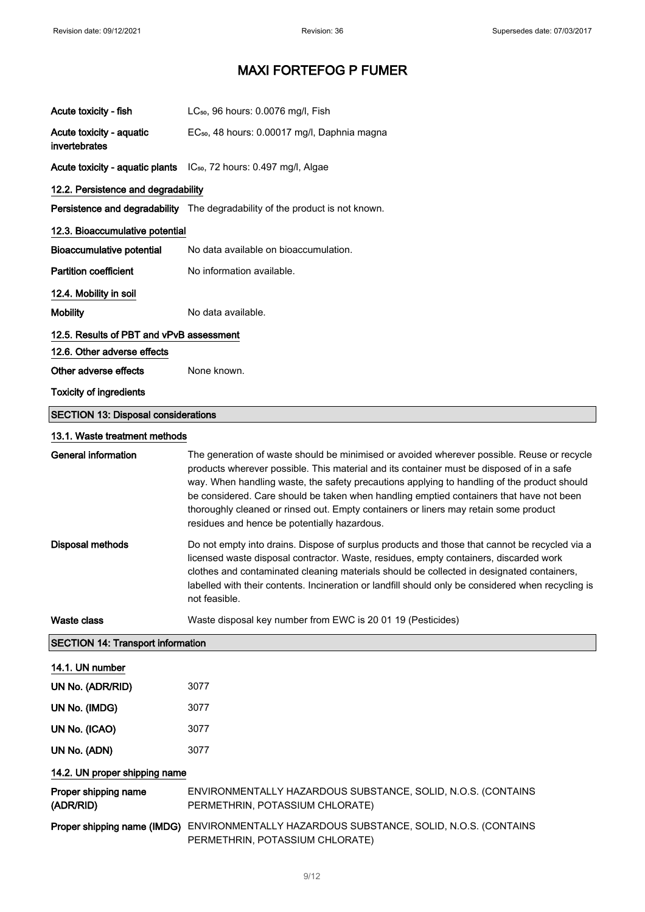| Acute toxicity - fish                      | LC <sub>50</sub> , 96 hours: 0.0076 mg/l, Fish                                                                                                                                                                                                                                                                                                                                                                                                                                                                            |
|--------------------------------------------|---------------------------------------------------------------------------------------------------------------------------------------------------------------------------------------------------------------------------------------------------------------------------------------------------------------------------------------------------------------------------------------------------------------------------------------------------------------------------------------------------------------------------|
| Acute toxicity - aquatic<br>invertebrates  | EC <sub>50</sub> , 48 hours: 0.00017 mg/l, Daphnia magna                                                                                                                                                                                                                                                                                                                                                                                                                                                                  |
|                                            | Acute toxicity - aquatic plants IC <sub>50</sub> , 72 hours: 0.497 mg/l, Algae                                                                                                                                                                                                                                                                                                                                                                                                                                            |
| 12.2. Persistence and degradability        |                                                                                                                                                                                                                                                                                                                                                                                                                                                                                                                           |
|                                            | Persistence and degradability The degradability of the product is not known.                                                                                                                                                                                                                                                                                                                                                                                                                                              |
| 12.3. Bioaccumulative potential            |                                                                                                                                                                                                                                                                                                                                                                                                                                                                                                                           |
| Bioaccumulative potential                  | No data available on bioaccumulation.                                                                                                                                                                                                                                                                                                                                                                                                                                                                                     |
| <b>Partition coefficient</b>               | No information available.                                                                                                                                                                                                                                                                                                                                                                                                                                                                                                 |
| 12.4. Mobility in soil                     |                                                                                                                                                                                                                                                                                                                                                                                                                                                                                                                           |
| <b>Mobility</b>                            | No data available.                                                                                                                                                                                                                                                                                                                                                                                                                                                                                                        |
| 12.5. Results of PBT and vPvB assessment   |                                                                                                                                                                                                                                                                                                                                                                                                                                                                                                                           |
| 12.6. Other adverse effects                |                                                                                                                                                                                                                                                                                                                                                                                                                                                                                                                           |
| Other adverse effects                      | None known.                                                                                                                                                                                                                                                                                                                                                                                                                                                                                                               |
| <b>Toxicity of ingredients</b>             |                                                                                                                                                                                                                                                                                                                                                                                                                                                                                                                           |
| <b>SECTION 13: Disposal considerations</b> |                                                                                                                                                                                                                                                                                                                                                                                                                                                                                                                           |
| 13.1. Waste treatment methods              |                                                                                                                                                                                                                                                                                                                                                                                                                                                                                                                           |
| <b>General information</b>                 | The generation of waste should be minimised or avoided wherever possible. Reuse or recycle<br>products wherever possible. This material and its container must be disposed of in a safe<br>way. When handling waste, the safety precautions applying to handling of the product should<br>be considered. Care should be taken when handling emptied containers that have not been<br>thoroughly cleaned or rinsed out. Empty containers or liners may retain some product<br>residues and hence be potentially hazardous. |
| <b>Disposal methods</b>                    | Do not empty into drains. Dispose of surplus products and those that cannot be recycled via a<br>licensed waste disposal contractor. Waste, residues, empty containers, discarded work<br>clothes and contaminated cleaning materials should be collected in designated containers,<br>labelled with their contents. Incineration or landfill should only be considered when recycling is<br>not feasible.                                                                                                                |
| <b>Waste class</b>                         | Waste disposal key number from EWC is 20 01 19 (Pesticides)                                                                                                                                                                                                                                                                                                                                                                                                                                                               |
| <b>SECTION 14: Transport information</b>   |                                                                                                                                                                                                                                                                                                                                                                                                                                                                                                                           |
| 14.1. UN number                            |                                                                                                                                                                                                                                                                                                                                                                                                                                                                                                                           |
| UN No. (ADR/RID)                           | 3077                                                                                                                                                                                                                                                                                                                                                                                                                                                                                                                      |
| UN No. (IMDG)                              | 3077                                                                                                                                                                                                                                                                                                                                                                                                                                                                                                                      |
| UN No. (ICAO)                              | 3077                                                                                                                                                                                                                                                                                                                                                                                                                                                                                                                      |
| UN No. (ADN)                               | 3077                                                                                                                                                                                                                                                                                                                                                                                                                                                                                                                      |
| 14.2. UN proper shipping name              |                                                                                                                                                                                                                                                                                                                                                                                                                                                                                                                           |
| Proper shipping name<br>(ADR/RID)          | ENVIRONMENTALLY HAZARDOUS SUBSTANCE, SOLID, N.O.S. (CONTAINS<br>PERMETHRIN, POTASSIUM CHLORATE)                                                                                                                                                                                                                                                                                                                                                                                                                           |
|                                            | Proper shipping name (IMDG) ENVIRONMENTALLY HAZARDOUS SUBSTANCE, SOLID, N.O.S. (CONTAINS<br>PERMETHRIN, POTASSIUM CHLORATE)                                                                                                                                                                                                                                                                                                                                                                                               |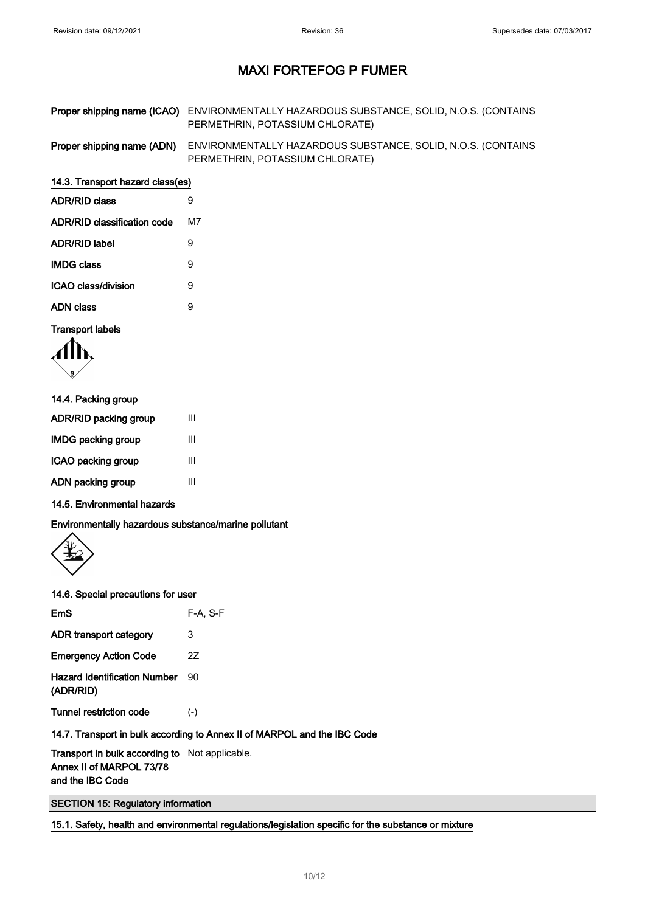| Proper shipping name (ICAO) ENVIRONMENTALLY HAZARDOUS SUBSTANCE, SOLID, N.O.S. (CONTAINS |
|------------------------------------------------------------------------------------------|
| PERMETHRIN, POTASSIUM CHLORATE)                                                          |

Proper shipping name (ADN) ENVIRONMENTALLY HAZARDOUS SUBSTANCE, SOLID, N.O.S. (CONTAINS PERMETHRIN, POTASSIUM CHLORATE)

#### 14.3. Transport hazard class(es)

| <b>ADR/RID class</b>        | 9  |
|-----------------------------|----|
| ADR/RID classification code | м7 |
| ADR/RID label               | 9  |
| <b>IMDG class</b>           | 9  |
| ICAO class/division         | 9  |
| ADN class                   | g  |
|                             |    |

#### Transport labels

$$
\langle \prod_{i}
$$

| 14.4. Packing group   |   |  |
|-----------------------|---|--|
| ADR/RID packing group | Ш |  |
| IMDG packing group    | Ш |  |
| ICAO packing group    | Ш |  |
| ADN packing group     | Ш |  |

#### 14.5. Environmental hazards

Environmentally hazardous substance/marine pollutant



#### 14.6. Special precautions for user

| $F-A. S-F$ |
|------------|
| 3          |
| 27         |
| 90         |
| $(-)$      |
|            |

### 14.7. Transport in bulk according to Annex II of MARPOL and the IBC Code

Transport in bulk according to Not applicable. Annex II of MARPOL 73/78 and the IBC Code

SECTION 15: Regulatory information

15.1. Safety, health and environmental regulations/legislation specific for the substance or mixture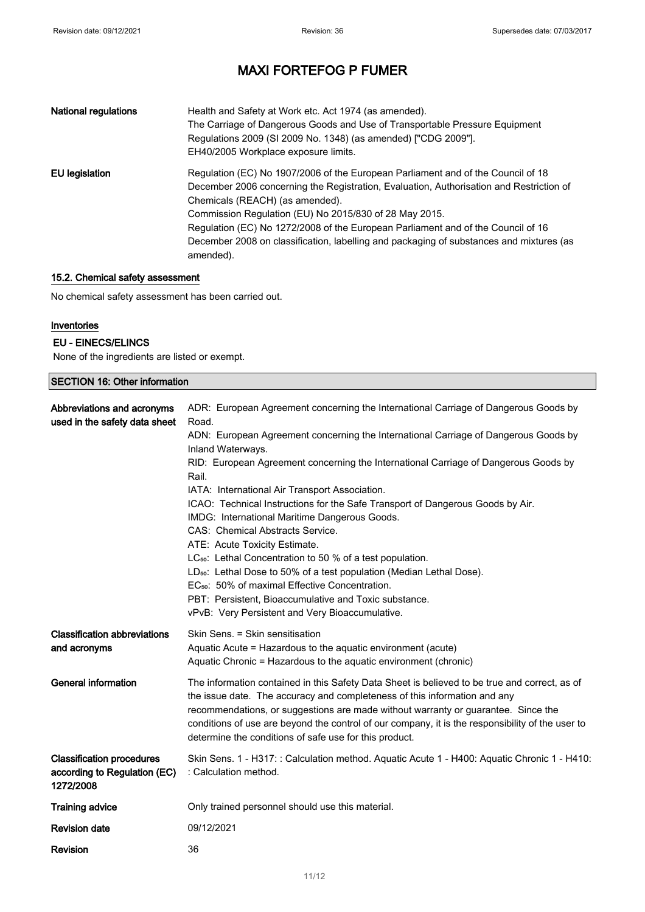| <b>National regulations</b> | Health and Safety at Work etc. Act 1974 (as amended).<br>The Carriage of Dangerous Goods and Use of Transportable Pressure Equipment<br>Regulations 2009 (SI 2009 No. 1348) (as amended) ["CDG 2009"].<br>EH40/2005 Workplace exposure limits.                                                                                                                                                                                                                       |
|-----------------------------|----------------------------------------------------------------------------------------------------------------------------------------------------------------------------------------------------------------------------------------------------------------------------------------------------------------------------------------------------------------------------------------------------------------------------------------------------------------------|
| EU legislation              | Regulation (EC) No 1907/2006 of the European Parliament and of the Council of 18<br>December 2006 concerning the Registration, Evaluation, Authorisation and Restriction of<br>Chemicals (REACH) (as amended).<br>Commission Regulation (EU) No 2015/830 of 28 May 2015.<br>Regulation (EC) No 1272/2008 of the European Parliament and of the Council of 16<br>December 2008 on classification, labelling and packaging of substances and mixtures (as<br>amended). |

#### 15.2. Chemical safety assessment

No chemical safety assessment has been carried out.

#### Inventories

#### EU - EINECS/ELINCS

None of the ingredients are listed or exempt.

| <b>SECTION 16: Other information</b>                                          |                                                                                                                                                                                                                                                                                                                                                                                                                                                                                                                                                                                                                                                                                                                                                                                                                                                                                                           |  |
|-------------------------------------------------------------------------------|-----------------------------------------------------------------------------------------------------------------------------------------------------------------------------------------------------------------------------------------------------------------------------------------------------------------------------------------------------------------------------------------------------------------------------------------------------------------------------------------------------------------------------------------------------------------------------------------------------------------------------------------------------------------------------------------------------------------------------------------------------------------------------------------------------------------------------------------------------------------------------------------------------------|--|
| Abbreviations and acronyms<br>used in the safety data sheet                   | ADR: European Agreement concerning the International Carriage of Dangerous Goods by<br>Road.<br>ADN: European Agreement concerning the International Carriage of Dangerous Goods by<br>Inland Waterways.<br>RID: European Agreement concerning the International Carriage of Dangerous Goods by<br>Rail.<br>IATA: International Air Transport Association.<br>ICAO: Technical Instructions for the Safe Transport of Dangerous Goods by Air.<br>IMDG: International Maritime Dangerous Goods.<br>CAS: Chemical Abstracts Service.<br>ATE: Acute Toxicity Estimate.<br>LC <sub>50</sub> : Lethal Concentration to 50 % of a test population.<br>LD <sub>50</sub> : Lethal Dose to 50% of a test population (Median Lethal Dose).<br>EC <sub>50</sub> : 50% of maximal Effective Concentration.<br>PBT: Persistent, Bioaccumulative and Toxic substance.<br>vPvB: Very Persistent and Very Bioaccumulative. |  |
| <b>Classification abbreviations</b><br>and acronyms                           | Skin Sens. = Skin sensitisation<br>Aquatic Acute = Hazardous to the aquatic environment (acute)<br>Aquatic Chronic = Hazardous to the aquatic environment (chronic)                                                                                                                                                                                                                                                                                                                                                                                                                                                                                                                                                                                                                                                                                                                                       |  |
| General information                                                           | The information contained in this Safety Data Sheet is believed to be true and correct, as of<br>the issue date. The accuracy and completeness of this information and any<br>recommendations, or suggestions are made without warranty or guarantee. Since the<br>conditions of use are beyond the control of our company, it is the responsibility of the user to<br>determine the conditions of safe use for this product.                                                                                                                                                                                                                                                                                                                                                                                                                                                                             |  |
| <b>Classification procedures</b><br>according to Regulation (EC)<br>1272/2008 | Skin Sens. 1 - H317: : Calculation method. Aquatic Acute 1 - H400: Aquatic Chronic 1 - H410:<br>: Calculation method.                                                                                                                                                                                                                                                                                                                                                                                                                                                                                                                                                                                                                                                                                                                                                                                     |  |
| <b>Training advice</b>                                                        | Only trained personnel should use this material.                                                                                                                                                                                                                                                                                                                                                                                                                                                                                                                                                                                                                                                                                                                                                                                                                                                          |  |
| <b>Revision date</b>                                                          | 09/12/2021                                                                                                                                                                                                                                                                                                                                                                                                                                                                                                                                                                                                                                                                                                                                                                                                                                                                                                |  |
| <b>Revision</b>                                                               | 36                                                                                                                                                                                                                                                                                                                                                                                                                                                                                                                                                                                                                                                                                                                                                                                                                                                                                                        |  |